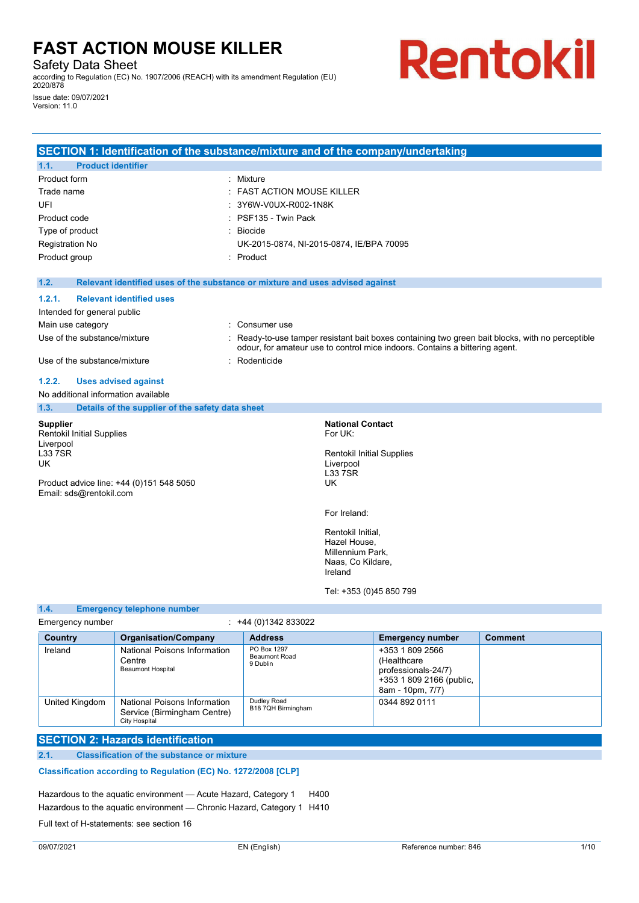Safety Data Sheet

according to Regulation (EC) No. 1907/2006 (REACH) with its amendment Regulation (EU) 2020/878

Issue date: 09/07/2021 Version: 11.0

# Rentokil

|                                     | SECTION 1: Identification of the substance/mixture and of the company/undertaking |                                          |                                       |                                                                             |                                                                                                  |
|-------------------------------------|-----------------------------------------------------------------------------------|------------------------------------------|---------------------------------------|-----------------------------------------------------------------------------|--------------------------------------------------------------------------------------------------|
| <b>Product identifier</b><br>1.1.   |                                                                                   |                                          |                                       |                                                                             |                                                                                                  |
| Product form                        |                                                                                   | : Mixture                                |                                       |                                                                             |                                                                                                  |
| Trade name                          |                                                                                   | <b>FAST ACTION MOUSE KILLER</b>          |                                       |                                                                             |                                                                                                  |
| UFI                                 |                                                                                   | 3Y6W-V0UX-R002-1N8K                      |                                       |                                                                             |                                                                                                  |
| Product code                        |                                                                                   | PSF135 - Twin Pack                       |                                       |                                                                             |                                                                                                  |
| Type of product                     |                                                                                   | : Biocide                                |                                       |                                                                             |                                                                                                  |
| Registration No                     |                                                                                   | UK-2015-0874, NI-2015-0874, IE/BPA 70095 |                                       |                                                                             |                                                                                                  |
| Product group                       |                                                                                   | : Product                                |                                       |                                                                             |                                                                                                  |
| 1.2.                                | Relevant identified uses of the substance or mixture and uses advised against     |                                          |                                       |                                                                             |                                                                                                  |
| 1.2.1.                              | <b>Relevant identified uses</b>                                                   |                                          |                                       |                                                                             |                                                                                                  |
| Intended for general public         |                                                                                   |                                          |                                       |                                                                             |                                                                                                  |
| Main use category                   |                                                                                   | : Consumer use                           |                                       |                                                                             |                                                                                                  |
| Use of the substance/mixture        |                                                                                   |                                          |                                       | odour, for amateur use to control mice indoors. Contains a bittering agent. | : Ready-to-use tamper resistant bait boxes containing two green bait blocks, with no perceptible |
| Use of the substance/mixture        | $\bullet$                                                                         | Rodenticide                              |                                       |                                                                             |                                                                                                  |
| 1.2.2.                              | <b>Uses advised against</b>                                                       |                                          |                                       |                                                                             |                                                                                                  |
| No additional information available |                                                                                   |                                          |                                       |                                                                             |                                                                                                  |
| 1.3.                                | Details of the supplier of the safety data sheet                                  |                                          |                                       |                                                                             |                                                                                                  |
| <b>Supplier</b>                     |                                                                                   |                                          | <b>National Contact</b>               |                                                                             |                                                                                                  |
| <b>Rentokil Initial Supplies</b>    |                                                                                   |                                          | For UK:                               |                                                                             |                                                                                                  |
| Liverpool<br><b>L33 7SR</b>         |                                                                                   |                                          | <b>Rentokil Initial Supplies</b>      |                                                                             |                                                                                                  |
| UK                                  |                                                                                   |                                          | Liverpool                             |                                                                             |                                                                                                  |
|                                     |                                                                                   |                                          | <b>L33 7SR</b>                        |                                                                             |                                                                                                  |
| Email: sds@rentokil.com             | Product advice line: +44 (0)151 548 5050                                          |                                          | UK                                    |                                                                             |                                                                                                  |
|                                     |                                                                                   |                                          | For Ireland:                          |                                                                             |                                                                                                  |
|                                     |                                                                                   |                                          | Rentokil Initial,                     |                                                                             |                                                                                                  |
|                                     |                                                                                   |                                          | Hazel House,                          |                                                                             |                                                                                                  |
|                                     |                                                                                   |                                          | Millennium Park,<br>Naas, Co Kildare, |                                                                             |                                                                                                  |
|                                     |                                                                                   |                                          | Ireland                               |                                                                             |                                                                                                  |
|                                     |                                                                                   |                                          | Tel: +353 (0)45 850 799               |                                                                             |                                                                                                  |
| 1.4.                                | <b>Emergency telephone number</b>                                                 |                                          |                                       |                                                                             |                                                                                                  |
| Emergency number                    |                                                                                   | $: +44(0)1342833022$                     |                                       |                                                                             |                                                                                                  |
| Country                             | <b>Organisation/Company</b>                                                       | <b>Address</b>                           |                                       | <b>Emergency number</b>                                                     | <b>Comment</b>                                                                                   |

| Country        | <b>Organisation/Company</b>                                                  | <b>Address</b>                                  | <b>Emergency number</b>                                                                               | Comment |
|----------------|------------------------------------------------------------------------------|-------------------------------------------------|-------------------------------------------------------------------------------------------------------|---------|
| Ireland        | National Poisons Information<br>Centre<br><b>Beaumont Hospital</b>           | PO Box 1297<br><b>Beaumont Road</b><br>9 Dublin | +353 1 809 2566<br>(Healthcare<br>professionals-24/7)<br>+353 1 809 2166 (public,<br>8am - 10pm, 7/7) |         |
| United Kingdom | National Poisons Information<br>Service (Birmingham Centre)<br>City Hospital | Dudley Road<br>B18 7QH Birmingham               | 0344 892 0111                                                                                         |         |
|                |                                                                              |                                                 |                                                                                                       |         |

# **SECTION 2: Hazards identification**

# **2.1. Classification of the substance or mixture**

# **Classification according to Regulation (EC) No. 1272/2008 [CLP]**

Hazardous to the aquatic environment - Acute Hazard, Category 1 H400

Hazardous to the aquatic environment - Chronic Hazard, Category 1 H410

Full text of H-statements: see section 16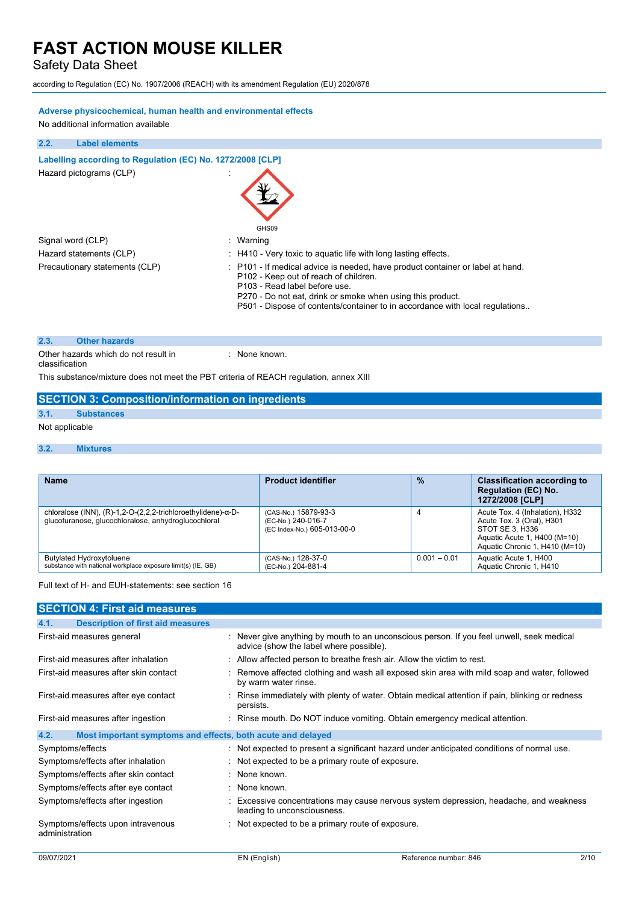Safety Data Sheet

according to Regulation (EC) No. 1907/2006 (REACH) with its amendment Regulation (EU) 2020/878

# **Adverse physicochemical, human health and environmental effects**

No additional information available

# **2.2. Label elements**

| Labelling according to Regulation (EC) No. 1272/2008 [CLP] |                                                                                                                                                                                                                                                                                                        |
|------------------------------------------------------------|--------------------------------------------------------------------------------------------------------------------------------------------------------------------------------------------------------------------------------------------------------------------------------------------------------|
| Hazard pictograms (CLP)                                    | GHS09                                                                                                                                                                                                                                                                                                  |
| Signal word (CLP)                                          | : Warning                                                                                                                                                                                                                                                                                              |
| Hazard statements (CLP)                                    | : H410 - Very toxic to aquatic life with long lasting effects.                                                                                                                                                                                                                                         |
| Precautionary statements (CLP)                             | : P101 - If medical advice is needed, have product container or label at hand.<br>P102 - Keep out of reach of children.<br>P103 - Read label before use.<br>P270 - Do not eat, drink or smoke when using this product.<br>P501 - Dispose of contents/container to in accordance with local regulations |

# **2.3. Other hazards**

Other hazards which do not result in classification : None known.

This substance/mixture does not meet the PBT criteria of REACH regulation, annex XIII

# **SECTION 3: Composition/information on ingredients**

# **3.1. Substances**

- Not applicable
- **3.2. Mixtures**

| <b>Name</b>                                                                                                                | <b>Product identifier</b>                                                 | $\frac{9}{6}$  | <b>Classification according to</b><br><b>Regulation (EC) No.</b><br>1272/2008 [CLP]                                                               |
|----------------------------------------------------------------------------------------------------------------------------|---------------------------------------------------------------------------|----------------|---------------------------------------------------------------------------------------------------------------------------------------------------|
| chloralose (INN), $(R)-1,2-O-(2,2,2-trichloroethylidene)-\alpha-D-$<br>glucofuranose, glucochloralose, anhydroglucochloral | (CAS-No.) 15879-93-3<br>(EC-No.) 240-016-7<br>(EC Index-No.) 605-013-00-0 | 4              | Acute Tox. 4 (Inhalation), H332<br>Acute Tox. 3 (Oral), H301<br>STOT SE 3. H336<br>Aquatic Acute 1, H400 (M=10)<br>Aquatic Chronic 1, H410 (M=10) |
| Butylated Hydroxytoluene<br>substance with national workplace exposure limit(s) (IE, GB)                                   | (CAS-No.) 128-37-0<br>(EC-No.) 204-881-4                                  | $0.001 - 0.01$ | Aquatic Acute 1, H400<br>Aquatic Chronic 1, H410                                                                                                  |

# Full text of H- and EUH-statements: see section 16

| <b>SECTION 4: First aid measures</b>                                |                                                                                                                                    |
|---------------------------------------------------------------------|------------------------------------------------------------------------------------------------------------------------------------|
| <b>Description of first aid measures</b><br>4.1.                    |                                                                                                                                    |
| First-aid measures general                                          | Never give anything by mouth to an unconscious person. If you feel unwell, seek medical<br>advice (show the label where possible). |
| First-aid measures after inhalation                                 | Allow affected person to breathe fresh air. Allow the victim to rest.                                                              |
| First-aid measures after skin contact                               | Remove affected clothing and wash all exposed skin area with mild soap and water, followed<br>by warm water rinse.                 |
| First-aid measures after eye contact                                | Rinse immediately with plenty of water. Obtain medical attention if pain, blinking or redness<br>persists.                         |
| First-aid measures after ingestion                                  | : Rinse mouth. Do NOT induce vomiting. Obtain emergency medical attention.                                                         |
| 4.2.<br>Most important symptoms and effects, both acute and delayed |                                                                                                                                    |
| Symptoms/effects                                                    | : Not expected to present a significant hazard under anticipated conditions of normal use.                                         |
| Symptoms/effects after inhalation                                   | Not expected to be a primary route of exposure.                                                                                    |
| Symptoms/effects after skin contact                                 | None known.                                                                                                                        |
| Symptoms/effects after eye contact                                  | : None known.                                                                                                                      |
| Symptoms/effects after ingestion                                    | Excessive concentrations may cause nervous system depression, headache, and weakness<br>leading to unconsciousness.                |
| Symptoms/effects upon intravenous<br>administration                 | Not expected to be a primary route of exposure.                                                                                    |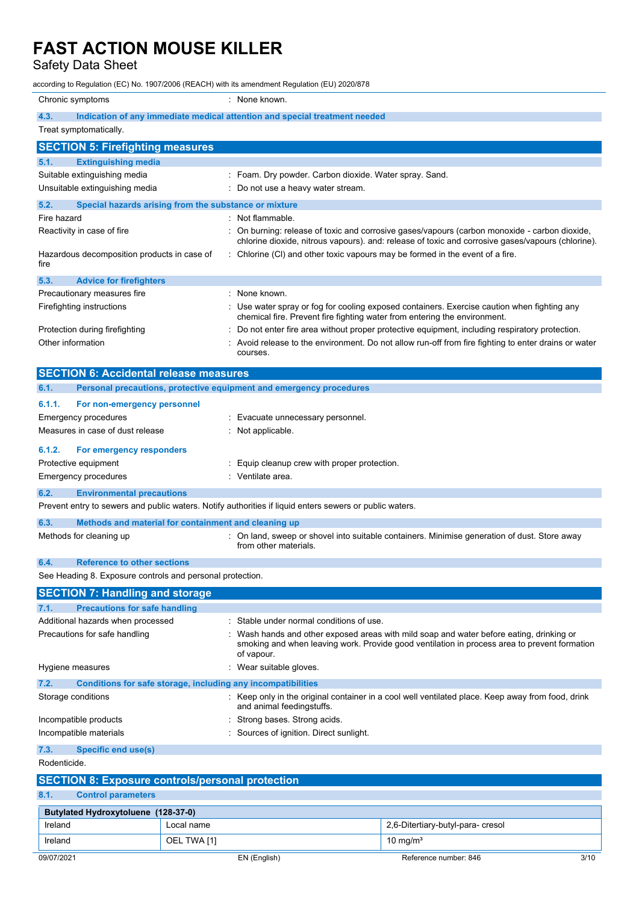Safety Data Sheet

according to Regulation (EC) No. 1907/2006 (REACH) with its amendment Regulation (EU) 2020/878

| Chronic symptoms                                                |             | : None known.                                                                                                                                                                                        |                                                                                                                                                                                                     |  |
|-----------------------------------------------------------------|-------------|------------------------------------------------------------------------------------------------------------------------------------------------------------------------------------------------------|-----------------------------------------------------------------------------------------------------------------------------------------------------------------------------------------------------|--|
| 4.3.                                                            |             | Indication of any immediate medical attention and special treatment needed                                                                                                                           |                                                                                                                                                                                                     |  |
| Treat symptomatically.                                          |             |                                                                                                                                                                                                      |                                                                                                                                                                                                     |  |
| <b>SECTION 5: Firefighting measures</b>                         |             |                                                                                                                                                                                                      |                                                                                                                                                                                                     |  |
| <b>Extinguishing media</b><br>5.1.                              |             |                                                                                                                                                                                                      |                                                                                                                                                                                                     |  |
| Suitable extinguishing media                                    |             | : Foam. Dry powder. Carbon dioxide. Water spray. Sand.                                                                                                                                               |                                                                                                                                                                                                     |  |
| Unsuitable extinguishing media                                  |             | Do not use a heavy water stream.                                                                                                                                                                     |                                                                                                                                                                                                     |  |
| 5.2.<br>Special hazards arising from the substance or mixture   |             |                                                                                                                                                                                                      |                                                                                                                                                                                                     |  |
| Fire hazard                                                     |             | Not flammable.                                                                                                                                                                                       |                                                                                                                                                                                                     |  |
| Reactivity in case of fire                                      |             |                                                                                                                                                                                                      | On burning: release of toxic and corrosive gases/vapours (carbon monoxide - carbon dioxide,<br>chlorine dioxide, nitrous vapours). and: release of toxic and corrosive gases/vapours (chlorine).    |  |
| Hazardous decomposition products in case of<br>fire             |             | $\therefore$ Chlorine (CI) and other toxic vapours may be formed in the event of a fire.                                                                                                             |                                                                                                                                                                                                     |  |
| 5.3.<br><b>Advice for firefighters</b>                          |             |                                                                                                                                                                                                      |                                                                                                                                                                                                     |  |
| Precautionary measures fire                                     |             | None known.                                                                                                                                                                                          |                                                                                                                                                                                                     |  |
| Firefighting instructions                                       |             | chemical fire. Prevent fire fighting water from entering the environment.                                                                                                                            | Use water spray or fog for cooling exposed containers. Exercise caution when fighting any                                                                                                           |  |
| Protection during firefighting<br>Other information             |             | courses.                                                                                                                                                                                             | Do not enter fire area without proper protective equipment, including respiratory protection.<br>Avoid release to the environment. Do not allow run-off from fire fighting to enter drains or water |  |
| <b>SECTION 6: Accidental release measures</b>                   |             |                                                                                                                                                                                                      |                                                                                                                                                                                                     |  |
| 6.1.                                                            |             | Personal precautions, protective equipment and emergency procedures                                                                                                                                  |                                                                                                                                                                                                     |  |
| 6.1.1.<br>For non-emergency personnel                           |             |                                                                                                                                                                                                      |                                                                                                                                                                                                     |  |
| <b>Emergency procedures</b>                                     |             | Evacuate unnecessary personnel.                                                                                                                                                                      |                                                                                                                                                                                                     |  |
| Measures in case of dust release                                |             | Not applicable.                                                                                                                                                                                      |                                                                                                                                                                                                     |  |
| 6.1.2.<br>For emergency responders                              |             |                                                                                                                                                                                                      |                                                                                                                                                                                                     |  |
| Protective equipment                                            |             | Equip cleanup crew with proper protection.                                                                                                                                                           |                                                                                                                                                                                                     |  |
| Emergency procedures                                            |             | : Ventilate area.                                                                                                                                                                                    |                                                                                                                                                                                                     |  |
| 6.2.<br><b>Environmental precautions</b>                        |             |                                                                                                                                                                                                      |                                                                                                                                                                                                     |  |
|                                                                 |             | Prevent entry to sewers and public waters. Notify authorities if liquid enters sewers or public waters.                                                                                              |                                                                                                                                                                                                     |  |
| 6.3.<br>Methods and material for containment and cleaning up    |             |                                                                                                                                                                                                      |                                                                                                                                                                                                     |  |
| Methods for cleaning up                                         |             | from other materials.                                                                                                                                                                                | On land, sweep or shovel into suitable containers. Minimise generation of dust. Store away                                                                                                          |  |
| <b>Reference to other sections</b><br>6.4.                      |             |                                                                                                                                                                                                      |                                                                                                                                                                                                     |  |
| See Heading 8. Exposure controls and personal protection.       |             |                                                                                                                                                                                                      |                                                                                                                                                                                                     |  |
| <b>SECTION 7: Handling and storage</b>                          |             |                                                                                                                                                                                                      |                                                                                                                                                                                                     |  |
| <b>Precautions for safe handling</b><br>7.1.                    |             |                                                                                                                                                                                                      |                                                                                                                                                                                                     |  |
| Additional hazards when processed                               |             | Stable under normal conditions of use.                                                                                                                                                               |                                                                                                                                                                                                     |  |
| Precautions for safe handling                                   |             | Wash hands and other exposed areas with mild soap and water before eating, drinking or<br>smoking and when leaving work. Provide good ventilation in process area to prevent formation<br>of vapour. |                                                                                                                                                                                                     |  |
| Hygiene measures                                                |             | Wear suitable gloves.                                                                                                                                                                                |                                                                                                                                                                                                     |  |
| 7.2.                                                            |             | Conditions for safe storage, including any incompatibilities                                                                                                                                         |                                                                                                                                                                                                     |  |
| Storage conditions                                              |             | : Keep only in the original container in a cool well ventilated place. Keep away from food, drink<br>and animal feedingstuffs.                                                                       |                                                                                                                                                                                                     |  |
| Incompatible products                                           |             | Strong bases. Strong acids.                                                                                                                                                                          |                                                                                                                                                                                                     |  |
| Sources of ignition. Direct sunlight.<br>Incompatible materials |             |                                                                                                                                                                                                      |                                                                                                                                                                                                     |  |
| 7.3.<br><b>Specific end use(s)</b>                              |             |                                                                                                                                                                                                      |                                                                                                                                                                                                     |  |
| Rodenticide.                                                    |             |                                                                                                                                                                                                      |                                                                                                                                                                                                     |  |
| <b>SECTION 8: Exposure controls/personal protection</b>         |             |                                                                                                                                                                                                      |                                                                                                                                                                                                     |  |
| 8.1.<br><b>Control parameters</b>                               |             |                                                                                                                                                                                                      |                                                                                                                                                                                                     |  |
| Butylated Hydroxytoluene (128-37-0)                             |             |                                                                                                                                                                                                      |                                                                                                                                                                                                     |  |
| Ireland                                                         | Local name  |                                                                                                                                                                                                      | 2,6-Ditertiary-butyl-para-cresol                                                                                                                                                                    |  |
| Ireland                                                         | OEL TWA [1] |                                                                                                                                                                                                      | 10 mg/ $m3$                                                                                                                                                                                         |  |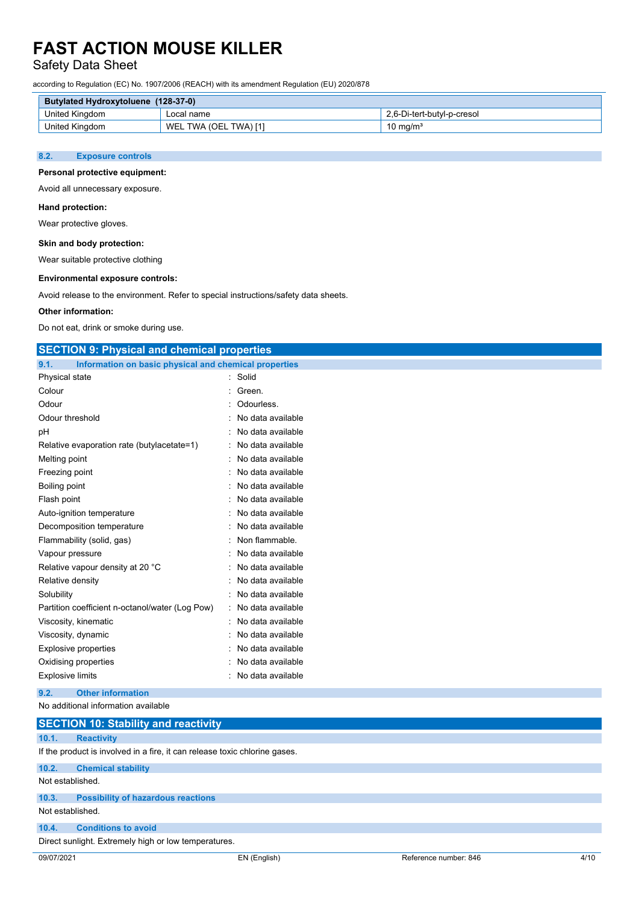# Safety Data Sheet

according to Regulation (EC) No. 1907/2006 (REACH) with its amendment Regulation (EU) 2020/878

| <b>Butylated Hydroxytoluene (128-37-0)</b> |                       |                            |
|--------------------------------------------|-----------------------|----------------------------|
| United Kingdom                             | ∟ocal name            | 2.6-Di-tert-butvl-p-cresol |
| <b>United Kingdom</b>                      | WEL TWA (OEL TWA) [1] | 10 mg/m <sup>3</sup>       |

#### **8.2. Exposure controls**

# **Personal protective equipment:**

Avoid all unnecessary exposure.

#### **Hand protection:**

Wear protective gloves.

#### **Skin and body protection:**

Wear suitable protective clothing

#### **Environmental exposure controls:**

Avoid release to the environment. Refer to special instructions/safety data sheets.

#### **Other information:**

Do not eat, drink or smoke during use.

| <b>SECTION 9: Physical and chemical properties</b>                         |                   |                       |      |
|----------------------------------------------------------------------------|-------------------|-----------------------|------|
| 9.1.<br>Information on basic physical and chemical properties              |                   |                       |      |
| Physical state                                                             | : Solid           |                       |      |
| Colour                                                                     | Green.            |                       |      |
| Odour                                                                      | Odourless.        |                       |      |
| Odour threshold                                                            | No data available |                       |      |
| рH                                                                         | No data available |                       |      |
| Relative evaporation rate (butylacetate=1)                                 | No data available |                       |      |
| Melting point                                                              | No data available |                       |      |
| Freezing point                                                             | No data available |                       |      |
| Boiling point                                                              | No data available |                       |      |
| Flash point                                                                | No data available |                       |      |
| Auto-ignition temperature                                                  | No data available |                       |      |
| Decomposition temperature                                                  | No data available |                       |      |
| Flammability (solid, gas)                                                  | Non flammable.    |                       |      |
| Vapour pressure                                                            | No data available |                       |      |
| Relative vapour density at 20 °C                                           | No data available |                       |      |
| Relative density                                                           | No data available |                       |      |
| Solubility                                                                 | No data available |                       |      |
| Partition coefficient n-octanol/water (Log Pow)                            | No data available |                       |      |
| Viscosity, kinematic                                                       | No data available |                       |      |
| Viscosity, dynamic                                                         | No data available |                       |      |
| <b>Explosive properties</b>                                                | No data available |                       |      |
| Oxidising properties                                                       | No data available |                       |      |
| <b>Explosive limits</b>                                                    | No data available |                       |      |
| 9.2.<br><b>Other information</b>                                           |                   |                       |      |
| No additional information available                                        |                   |                       |      |
| <b>SECTION 10: Stability and reactivity</b>                                |                   |                       |      |
| 10.1.<br><b>Reactivity</b>                                                 |                   |                       |      |
| If the product is involved in a fire, it can release toxic chlorine gases. |                   |                       |      |
| 10.2.<br><b>Chemical stability</b>                                         |                   |                       |      |
| Not established.                                                           |                   |                       |      |
| 10.3.<br><b>Possibility of hazardous reactions</b>                         |                   |                       |      |
| Not established.                                                           |                   |                       |      |
| <b>Conditions to avoid</b><br>10.4.                                        |                   |                       |      |
| Direct sunlight. Extremely high or low temperatures.                       |                   |                       |      |
| 09/07/2021                                                                 | EN (English)      | Reference number: 846 | 4/10 |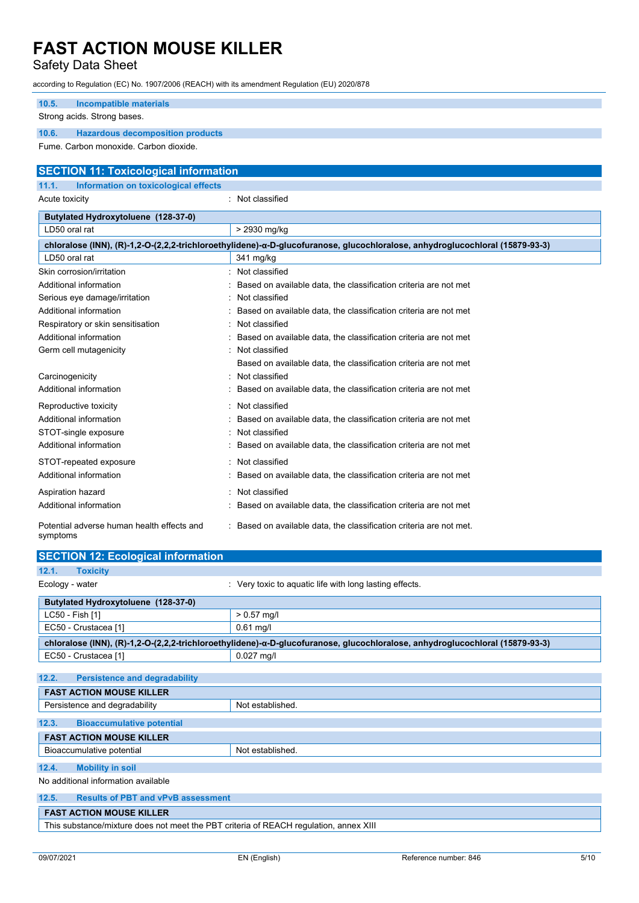# Safety Data Sheet

| according to Regulation (EC) No. 1907/2006 (REACH) with its amendment Regulation (EU) 2020/878 |                                                                                                                              |
|------------------------------------------------------------------------------------------------|------------------------------------------------------------------------------------------------------------------------------|
| <b>Incompatible materials</b><br>10.5.                                                         |                                                                                                                              |
| Strong acids. Strong bases.                                                                    |                                                                                                                              |
| 10.6.<br><b>Hazardous decomposition products</b>                                               |                                                                                                                              |
| Fume. Carbon monoxide. Carbon dioxide.                                                         |                                                                                                                              |
|                                                                                                |                                                                                                                              |
| <b>SECTION 11: Toxicological information</b>                                                   |                                                                                                                              |
| 11.1.<br>Information on toxicological effects                                                  |                                                                                                                              |
| Acute toxicity                                                                                 | : Not classified                                                                                                             |
| Butylated Hydroxytoluene (128-37-0)                                                            |                                                                                                                              |
| LD50 oral rat                                                                                  | > 2930 mg/kg                                                                                                                 |
|                                                                                                | chloralose (INN), (R)-1,2-O-(2,2,2-trichloroethylidene)-α-D-glucofuranose, glucochloralose, anhydroglucochloral (15879-93-3) |
| LD50 oral rat                                                                                  | 341 mg/kg                                                                                                                    |
| Skin corrosion/irritation                                                                      | : Not classified                                                                                                             |
| Additional information                                                                         | Based on available data, the classification criteria are not met                                                             |
| Serious eye damage/irritation                                                                  | Not classified                                                                                                               |
| Additional information                                                                         | Based on available data, the classification criteria are not met                                                             |
| Respiratory or skin sensitisation                                                              | Not classified                                                                                                               |
| Additional information                                                                         | Based on available data, the classification criteria are not met                                                             |
| Germ cell mutagenicity                                                                         | Not classified                                                                                                               |
|                                                                                                | Based on available data, the classification criteria are not met                                                             |
| Carcinogenicity                                                                                | Not classified                                                                                                               |
| Additional information                                                                         | Based on available data, the classification criteria are not met                                                             |
| Reproductive toxicity                                                                          | Not classified                                                                                                               |
| Additional information                                                                         | Based on available data, the classification criteria are not met                                                             |
| STOT-single exposure                                                                           | Not classified                                                                                                               |
| Additional information                                                                         | Based on available data, the classification criteria are not met                                                             |
| STOT-repeated exposure                                                                         | Not classified                                                                                                               |
| Additional information                                                                         | Based on available data, the classification criteria are not met                                                             |
| Aspiration hazard                                                                              | Not classified                                                                                                               |
| Additional information                                                                         | Based on available data, the classification criteria are not met                                                             |
| Potential adverse human health effects and<br>symptoms                                         | Based on available data, the classification criteria are not met.                                                            |
| <b>SECTION 12: Ecological information</b>                                                      |                                                                                                                              |
| 12.1.<br><b>Toxicity</b>                                                                       |                                                                                                                              |
| Ecology - water                                                                                | : Very toxic to aquatic life with long lasting effects.                                                                      |
| Butylated Hydroxytoluene (128-37-0)                                                            |                                                                                                                              |
| LC50 - Fish [1]                                                                                | $> 0.57$ mg/l                                                                                                                |
| EC50 - Crustacea [1]                                                                           | $0.61$ mg/l                                                                                                                  |

**12.4. Mobility in soil** 

**12.2. Persistence and degradability FAST ACTION MOUSE KILLER** 

**12.3. Bioaccumulative potential FAST ACTION MOUSE KILLER** 

No additional information available

# **12.5. Results of PBT and vPvB assessment**

EC50 - Crustacea [1] 0.027 mg/l

Persistence and degradability Not established.

Bioaccumulative potential Not established.

**FAST ACTION MOUSE KILLER** 

This substance/mixture does not meet the PBT criteria of REACH regulation, annex XIII

**chloralose (INN), (R)-1,2-O-(2,2,2-trichloroethylidene)- -D-glucofuranose, glucochloralose, anhydroglucochloral (15879-93-3)**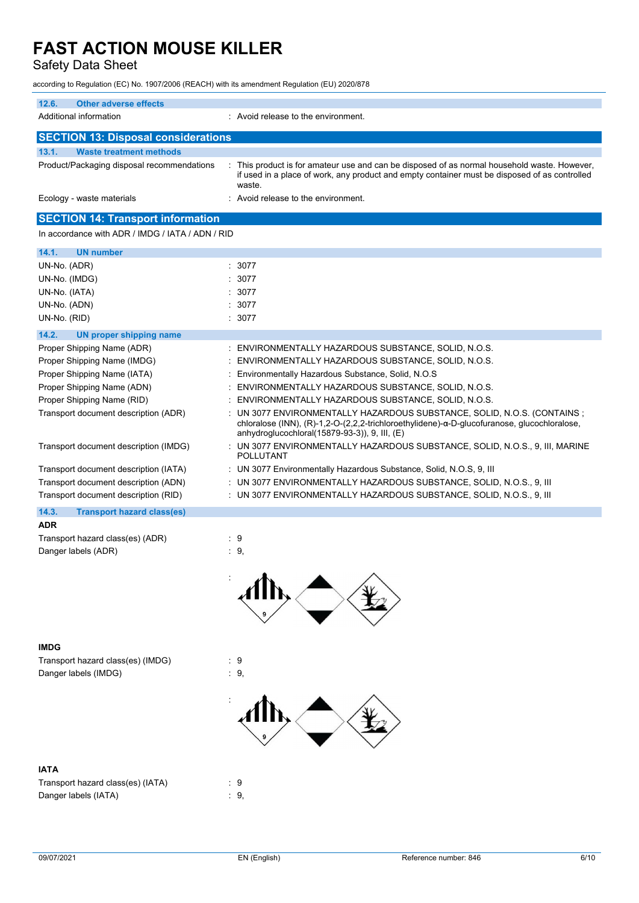# Safety Data Sheet

according to Regulation (EC) No. 1907/2006 (REACH) with its amendment Regulation (EU) 2020/878

| 12.6.<br><b>Other adverse effects</b>            |                                                                                                                                                                                                                        |
|--------------------------------------------------|------------------------------------------------------------------------------------------------------------------------------------------------------------------------------------------------------------------------|
| Additional information                           | : Avoid release to the environment.                                                                                                                                                                                    |
| <b>SECTION 13: Disposal considerations</b>       |                                                                                                                                                                                                                        |
| 13.1.<br><b>Waste treatment methods</b>          |                                                                                                                                                                                                                        |
| Product/Packaging disposal recommendations       | : This product is for amateur use and can be disposed of as normal household waste. However,<br>if used in a place of work, any product and empty container must be disposed of as controlled<br>waste.                |
| Ecology - waste materials                        | : Avoid release to the environment.                                                                                                                                                                                    |
| <b>SECTION 14: Transport information</b>         |                                                                                                                                                                                                                        |
| In accordance with ADR / IMDG / IATA / ADN / RID |                                                                                                                                                                                                                        |
| 14.1.<br><b>UN number</b>                        |                                                                                                                                                                                                                        |
| UN-No. (ADR)                                     | : 3077                                                                                                                                                                                                                 |
| UN-No. (IMDG)                                    | 3077                                                                                                                                                                                                                   |
| UN-No. (IATA)                                    | 3077                                                                                                                                                                                                                   |
| UN-No. (ADN)                                     | 3077                                                                                                                                                                                                                   |
| UN-No. (RID)                                     | : 3077                                                                                                                                                                                                                 |
| 14.2.<br><b>UN proper shipping name</b>          |                                                                                                                                                                                                                        |
| Proper Shipping Name (ADR)                       | : ENVIRONMENTALLY HAZARDOUS SUBSTANCE, SOLID, N.O.S.                                                                                                                                                                   |
| Proper Shipping Name (IMDG)                      | ENVIRONMENTALLY HAZARDOUS SUBSTANCE, SOLID, N.O.S.<br>÷                                                                                                                                                                |
| Proper Shipping Name (IATA)                      | Environmentally Hazardous Substance, Solid, N.O.S.<br>÷                                                                                                                                                                |
| Proper Shipping Name (ADN)                       | ENVIRONMENTALLY HAZARDOUS SUBSTANCE, SOLID, N.O.S.                                                                                                                                                                     |
| Proper Shipping Name (RID)                       | ENVIRONMENTALLY HAZARDOUS SUBSTANCE, SOLID, N.O.S.                                                                                                                                                                     |
| Transport document description (ADR)             | UN 3077 ENVIRONMENTALLY HAZARDOUS SUBSTANCE, SOLID, N.O.S. (CONTAINS ;<br>chloralose (INN), (R)-1,2-O-(2,2,2-trichloroethylidene)-α-D-glucofuranose, glucochloralose,<br>anhydroglucochloral(15879-93-3)), 9, III, (E) |
| Transport document description (IMDG)            | : UN 3077 ENVIRONMENTALLY HAZARDOUS SUBSTANCE, SOLID, N.O.S., 9, III, MARINE<br><b>POLLUTANT</b>                                                                                                                       |
| Transport document description (IATA)            | : UN 3077 Environmentally Hazardous Substance, Solid, N.O.S, 9, III                                                                                                                                                    |
| Transport document description (ADN)             | UN 3077 ENVIRONMENTALLY HAZARDOUS SUBSTANCE, SOLID, N.O.S., 9, III                                                                                                                                                     |
| Transport document description (RID)             | : UN 3077 ENVIRONMENTALLY HAZARDOUS SUBSTANCE, SOLID, N.O.S., 9, III                                                                                                                                                   |
| 14.3.<br><b>Transport hazard class(es)</b>       |                                                                                                                                                                                                                        |
| <b>ADR</b>                                       |                                                                                                                                                                                                                        |
| Transport hazard class(es) (ADR)                 | : 9                                                                                                                                                                                                                    |
| Danger labels (ADR)                              | $\cdot$ 9,                                                                                                                                                                                                             |



# **IMDG**

Transport hazard class(es) (IMDG) : 9 Danger labels (IMDG)  $\qquad \qquad$  : 9,

# **Example 2008**

# **IATA**

| Transport hazard class(es) (IATA) | : 9  |
|-----------------------------------|------|
| Danger labels (IATA)              | : 9. |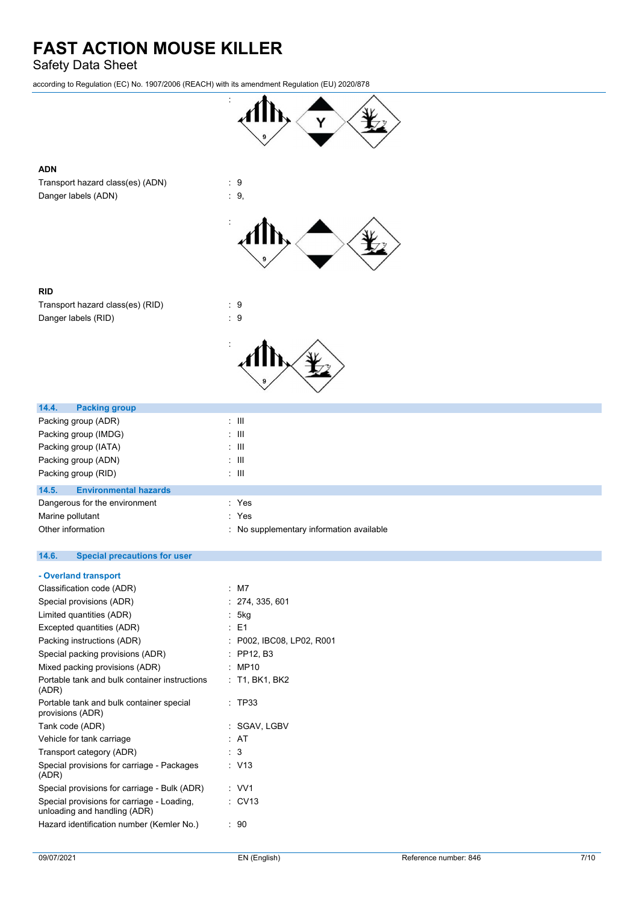# Safety Data Sheet

according to Regulation (EC) No. 1907/2006 (REACH) with its amendment Regulation (EU) 2020/878



# **ADN**

Transport hazard class(es) (ADN) : 9 Danger labels (ADN)  $\qquad \qquad$  : 9,



| <b>RID</b>                                   |                                          |
|----------------------------------------------|------------------------------------------|
| Transport hazard class(es) (RID)             | :9                                       |
| Danger labels (RID)                          | : 9                                      |
|                                              |                                          |
| 14.4.<br><b>Packing group</b>                |                                          |
| Packing group (ADR)                          | $\pm$ III                                |
| Packing group (IMDG)                         | $\pm$ 111                                |
| Packing group (IATA)                         | $\pm$ 111                                |
| Packing group (ADN)                          | $\pm$ 111                                |
| Packing group (RID)                          | $\pm$ III                                |
| 14.5.<br><b>Environmental hazards</b>        |                                          |
| Dangerous for the environment                | : Yes                                    |
| Marine pollutant                             | : Yes                                    |
| Other information                            | : No supplementary information available |
| 14.6.<br><b>Special precautions for user</b> |                                          |
| - Overland transport                         |                                          |
| Classification code (ADR)                    | : M7                                     |
| Special provisions (ADR)                     | : 274.335.601                            |

| Special provisions (ADR)                                                   | : 274, 335, 601           |
|----------------------------------------------------------------------------|---------------------------|
| Limited quantities (ADR)                                                   | : 5kg                     |
| Excepted quantities (ADR)                                                  | : E1                      |
| Packing instructions (ADR)                                                 | : P002, IBC08, LP02, R001 |
| Special packing provisions (ADR)                                           | : PP12, B3                |
| Mixed packing provisions (ADR)                                             | : MP10                    |
| Portable tank and bulk container instructions<br>(ADR)                     | : T1, BK1, BK2            |
| Portable tank and bulk container special<br>provisions (ADR)               | : TP33                    |
| Tank code (ADR)                                                            | : SGAV, LGBV              |
| Vehicle for tank carriage                                                  | : AT                      |
| Transport category (ADR)                                                   | : 3                       |
| Special provisions for carriage - Packages<br>(ADR)                        | : V13                     |
| Special provisions for carriage - Bulk (ADR)                               | : VV1                     |
| Special provisions for carriage - Loading.<br>unloading and handling (ADR) | $\therefore$ CV13         |
| Hazard identification number (Kemler No.)                                  | : 90                      |
|                                                                            |                           |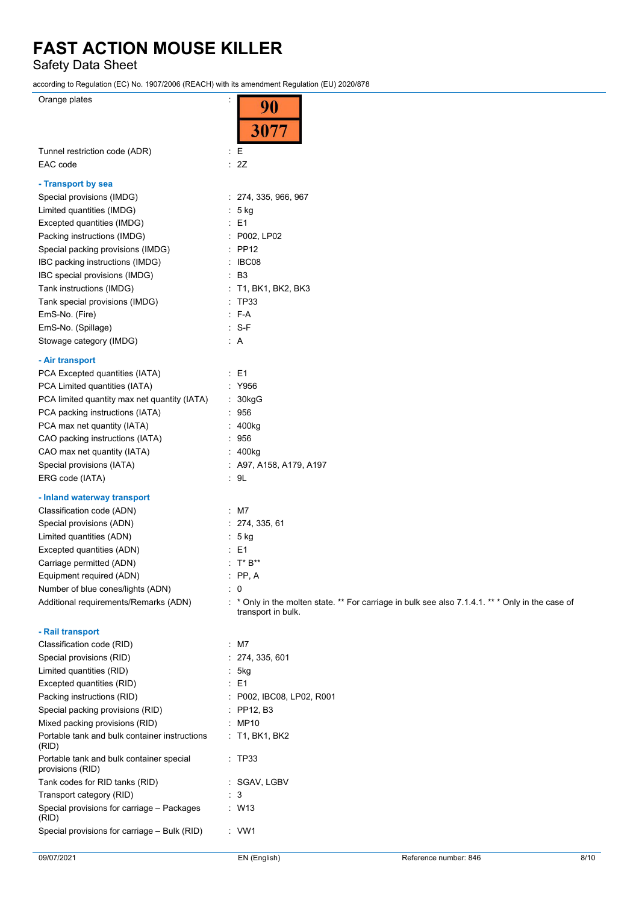Safety Data Sheet

according to Regulation (EC) No. 1907/2006 (REACH) with its amendment Regulation (EU) 2020/878

| Orange plates                                                |                                                                                                  |
|--------------------------------------------------------------|--------------------------------------------------------------------------------------------------|
|                                                              | 90                                                                                               |
|                                                              | 3077                                                                                             |
|                                                              |                                                                                                  |
| Tunnel restriction code (ADR)                                | $E_{\rm E}$                                                                                      |
| EAC code                                                     | : 2Z                                                                                             |
| - Transport by sea                                           |                                                                                                  |
| Special provisions (IMDG)                                    | : 274, 335, 966, 967                                                                             |
| Limited quantities (IMDG)                                    | $: 5$ kg                                                                                         |
| Excepted quantities (IMDG)                                   | $\therefore$ E1                                                                                  |
| Packing instructions (IMDG)                                  | : P002, LP02                                                                                     |
| Special packing provisions (IMDG)                            | $\therefore$ PP12                                                                                |
| IBC packing instructions (IMDG)                              | : IBCO8                                                                                          |
| IBC special provisions (IMDG)                                | $\therefore$ B3                                                                                  |
| Tank instructions (IMDG)                                     | : T1, BK1, BK2, BK3                                                                              |
| Tank special provisions (IMDG)                               | : TP33                                                                                           |
| EmS-No. (Fire)                                               | $: F-A$                                                                                          |
| EmS-No. (Spillage)                                           | $: S-F$                                                                                          |
| Stowage category (IMDG)                                      | $\therefore$ A                                                                                   |
|                                                              |                                                                                                  |
| - Air transport                                              |                                                                                                  |
| PCA Excepted quantities (IATA)                               | $\therefore$ E1                                                                                  |
| PCA Limited quantities (IATA)                                | : Y956                                                                                           |
| PCA limited quantity max net quantity (IATA)                 | : 30kgG                                                                                          |
| PCA packing instructions (IATA)                              | $\therefore$ 956                                                                                 |
| PCA max net quantity (IATA)                                  | : 400kg                                                                                          |
| CAO packing instructions (IATA)                              | : 956                                                                                            |
| CAO max net quantity (IATA)                                  | : 400kg                                                                                          |
| Special provisions (IATA)                                    | $:$ A97, A158, A179, A197                                                                        |
| ERG code (IATA)                                              | $\therefore$ 9L                                                                                  |
| - Inland waterway transport                                  |                                                                                                  |
| Classification code (ADN)                                    | $:$ M7                                                                                           |
| Special provisions (ADN)                                     | : 274, 335, 61                                                                                   |
| Limited quantities (ADN)                                     | $: 5$ kg                                                                                         |
| Excepted quantities (ADN)                                    | $\therefore$ E1                                                                                  |
| Carriage permitted (ADN)                                     | : $T^* B^{**}$                                                                                   |
| Equipment required (ADN)                                     | $\therefore$ PP, A                                                                               |
| Number of blue cones/lights (ADN)                            | : 0                                                                                              |
| Additional requirements/Remarks (ADN)                        | : * Only in the molten state. ** For carriage in bulk see also 7.1.4.1. ** * Only in the case of |
|                                                              | transport in bulk.                                                                               |
| - Rail transport                                             |                                                                                                  |
| Classification code (RID)                                    | $:$ M7                                                                                           |
| Special provisions (RID)                                     | : 274, 335, 601                                                                                  |
| Limited quantities (RID)                                     | : 5kg                                                                                            |
| Excepted quantities (RID)                                    | $\therefore$ E1                                                                                  |
| Packing instructions (RID)                                   | : P002, IBC08, LP02, R001                                                                        |
| Special packing provisions (RID)                             | : $PP12, B3$                                                                                     |
| Mixed packing provisions (RID)                               | : MP10                                                                                           |
| Portable tank and bulk container instructions                | $:$ T1, BK1, BK2                                                                                 |
| (RID)                                                        |                                                                                                  |
| Portable tank and bulk container special<br>provisions (RID) | $\therefore$ TP33                                                                                |
| Tank codes for RID tanks (RID)                               | : SGAV, LGBV                                                                                     |
| Transport category (RID)                                     | $\therefore$ 3                                                                                   |
| Special provisions for carriage - Packages<br>(RID)          | $\therefore$ W13                                                                                 |
| Special provisions for carriage - Bulk (RID)                 | $\cdot$ VW1                                                                                      |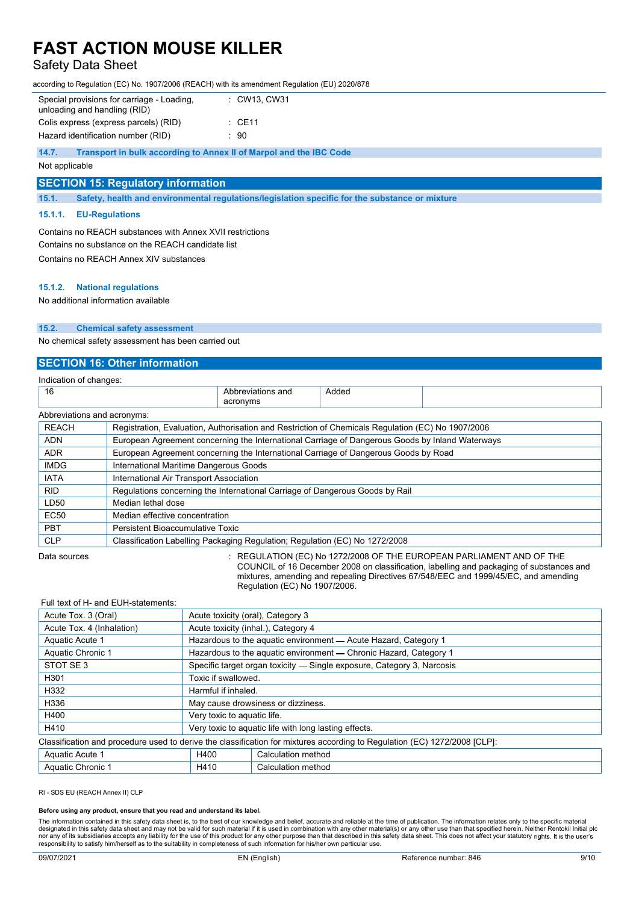# Safety Data Sheet

according to Regulation (EC) No. 1907/2006 (REACH) with its amendment Regulation (EU) 2020/878

| Special provisions for carriage - Loading.<br>unloading and handling (RID) | : CW13. CW31      |
|----------------------------------------------------------------------------|-------------------|
| Colis express (express parcels) (RID)                                      | $\therefore$ CE11 |
| Hazard identification number (RID)                                         | : 90              |

**14.7. Transport in bulk according to Annex II of Marpol and the IBC Code** 

Not applicable

#### **SECTION 15: Regulatory information**

**15.1. Safety, health and environmental regulations/legislation specific for the substance or mixture** 

#### **15.1.1. EU-Regulations**

Contains no REACH substances with Annex XVII restrictions Contains no substance on the REACH candidate list Contains no REACH Annex XIV substances

#### **15.1.2. National regulations**

No additional information available

#### **15.2. Chemical safety assessment**

No chemical safety assessment has been carried out

# **SECTION 16: Other information**

|                             |                                                                                                   | Indication of changes: |       |  |  |  |  |  |
|-----------------------------|---------------------------------------------------------------------------------------------------|------------------------|-------|--|--|--|--|--|
| 16                          |                                                                                                   | Abbreviations and      | Added |  |  |  |  |  |
|                             |                                                                                                   | acronyms               |       |  |  |  |  |  |
| Abbreviations and acronyms: |                                                                                                   |                        |       |  |  |  |  |  |
| <b>REACH</b>                | Registration, Evaluation, Authorisation and Restriction of Chemicals Regulation (EC) No 1907/2006 |                        |       |  |  |  |  |  |
| <b>ADN</b>                  | European Agreement concerning the International Carriage of Dangerous Goods by Inland Waterways   |                        |       |  |  |  |  |  |
| <b>ADR</b>                  | European Agreement concerning the International Carriage of Dangerous Goods by Road               |                        |       |  |  |  |  |  |
| <b>IMDG</b>                 | International Maritime Dangerous Goods                                                            |                        |       |  |  |  |  |  |
| <b>IATA</b>                 | International Air Transport Association                                                           |                        |       |  |  |  |  |  |
| <b>RID</b>                  | Regulations concerning the International Carriage of Dangerous Goods by Rail                      |                        |       |  |  |  |  |  |
| LD50                        | Median lethal dose                                                                                |                        |       |  |  |  |  |  |
| <b>EC50</b>                 | Median effective concentration                                                                    |                        |       |  |  |  |  |  |
| <b>PBT</b>                  | Persistent Bioaccumulative Toxic                                                                  |                        |       |  |  |  |  |  |
| <b>CLP</b>                  | Classification Labelling Packaging Regulation; Regulation (EC) No 1272/2008                       |                        |       |  |  |  |  |  |
|                             |                                                                                                   |                        |       |  |  |  |  |  |

Data sources **State State State State State State State State State State State State State State State State State State State State State State State State State State State State State State State State State State Stat** COUNCIL of 16 December 2008 on classification, labelling and packaging of substances and mixtures, amending and repealing Directives 67/548/EEC and 1999/45/EC, and amending Regulation (EC) No 1907/2006.

# Full text of H- and EUH-statements: Acute Tox. 3 (Oral) **Acute toxicity (oral), Category 3** Acute Tox. 4 (Inhalation) Acute toxicity (inhal.), Category 4 Aquatic Acute 1 **Hazardous to the aquatic environment — Acute Hazard, Category 1** Aquatic Chronic 1 Hazardous to the aquatic environment — Chronic Hazard, Category 1 STOT SE 3 Specific target organ toxicity — Single exposure, Category 3, Narcosis H<sub>301</sub> H<sub>301</sub> Toxic if swallowed H<sub>332</sub> Harmful if inhaled. H336 May cause drowsiness or dizziness. H400 **Very toxic to aquatic life.** H410 **Very toxic to aquatic life with long lasting effects.** Classification and procedure used to derive the classification for mixtures according to Regulation (EC) 1272/2008 [CLP]: Aquatic Acute 1 Material Calculation method Aquatic Chronic 1 **H410** Calculation method

RI - SDS EU (REACH Annex II) CLP

#### **Before using any product, ensure that you read and understand its label.**

The information contained in this safety data sheet is, to the best of our knowledge and belief, accurate and reliable at the time of publication. The information relates only to the specific material designated in this safety data sheet and may not be valid for such material if it is used in combination with any other material(s) or any other use than that specified herein. Neither Rentokil Initial plc<br>nor any of its s